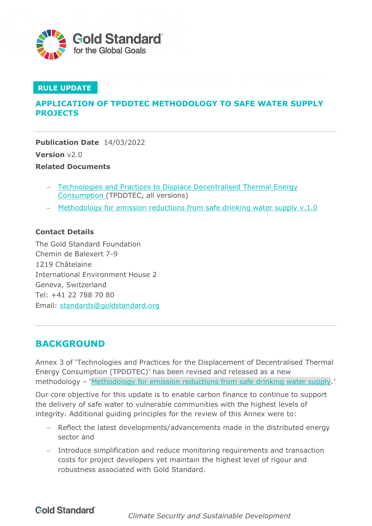

### **RULE UPDATE**

## **APPLICATION OF TPDDTEC METHODOLOGY TO SAFE WATER SUPPLY PROJECTS**

**Publication Date** 14/03/2022 **Version** v2.0 **Related Documents**

- − [Technologies and Practices to Displace Decentralised Thermal Energy](https://globalgoals.goldstandard.org/407-ee-ics-technologies-and-practices-to-displace-decentrilized-thermal-energy-tpddtec-consumption/) [Consumption \(](https://globalgoals.goldstandard.org/407-ee-ics-technologies-and-practices-to-displace-decentrilized-thermal-energy-tpddtec-consumption/)TPDDTEC, all versions)
- − [Methodology for emission reductions from safe drinking water supply v.1.0](https://globalgoals.goldstandard.org/429-ee-sws-emission-reductions-from-safe-drinking-water-supply/)

#### **Contact Details**

The Gold Standard Foundation Chemin de Balexert 7-9 1219 Châtelaine International Environment House 2 Geneva, Switzerland Tel: +41 22 788 70 80 Email: [standards@goldstandard.org](mailto:standards@goldstandard.org)

## **BACKGROUND**

Annex 3 of 'Technologies and Practices for the Displacement of Decentralised Thermal Energy Consumption (TPDDTEC)' has been revised and released as a new methodology – 'Methodology [for emission reductions from safe drinking water supply.](https://globalgoals.goldstandard.org/429-ee-sws-emission-reductions-from-safe-drinking-water-supply/)'

Our core objective for this update is to enable carbon finance to continue to support the delivery of safe water to vulnerable communities with the highest levels of integrity. Additional guiding principles for the review of this Annex were to:

- − Reflect the latest developments/advancements made in the distributed energy sector and
- − Introduce simplification and reduce monitoring requirements and transaction costs for project developers yet maintain the highest level of rigour and robustness associated with Gold Standard.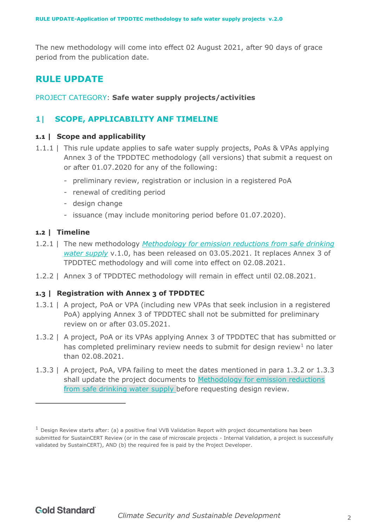The new methodology will come into effect 02 August 2021, after 90 days of grace period from the publication date.

# **RULE UPDATE**

#### PROJECT CATEGORY: **Safe water supply projects/activities**

## **1| SCOPE, APPLICABILITY ANF TIMELINE**

#### **1.1 | Scope and applicability**

- 1.1.1 | This rule update applies to safe water supply projects, PoAs & VPAs applying Annex 3 of the TPDDTEC methodology (all versions) that submit a request on or after 01.07.2020 for any of the following:
	- preliminary review, registration or inclusion in a registered PoA
	- renewal of crediting period
	- design change
	- issuance (may include monitoring period before 01.07.2020).

#### **1.2 | Timeline**

- 1.2.1 | The new methodology *[Methodology](https://globalgoals.goldstandard.org/429-ee-sws-emission-reductions-from-safe-drinking-water-supply/) for emission reductions from safe drinking [water supply](https://globalgoals.goldstandard.org/429-ee-sws-emission-reductions-from-safe-drinking-water-supply/)* v.1.0, has been released on 03.05.2021. It replaces Annex 3 of TPDDTEC methodology and will come into effect on 02.08.2021.
- 1.2.2 | Annex 3 of TPDDTEC methodology will remain in effect until 02.08.2021.

#### **1.3 | Registration with Annex 3 of TPDDTEC**

- 1.3.1 | A project, PoA or VPA (including new VPAs that seek inclusion in a registered PoA) applying Annex 3 of TPDDTEC shall not be submitted for preliminary review on or after 03.05.2021.
- 1.3.2 | A project, PoA or its VPAs applying Annex 3 of TPDDTEC that has submitted or has completed preliminary review needs to submit for design review<sup>1</sup> no later than 02.08.2021.
- 1.3.3 | A project, PoA, VPA failing to meet the dates mentioned in para 1.3.2 or 1.3.3 shall update the project documents to [Methodology for emission reductions](https://globalgoals.goldstandard.org/429-ee-sws-emission-reductions-from-safe-drinking-water-supply/) [from safe drinking water supply b](https://globalgoals.goldstandard.org/429-ee-sws-emission-reductions-from-safe-drinking-water-supply/)efore requesting design review.

 $1$  Design Review starts after: (a) a positive final VVB Validation Report with project documentations has been submitted for SustainCERT Review (or in the case of microscale projects - Internal Validation, a project is successfully validated by SustainCERT), AND (b) the required fee is paid by the Project Developer.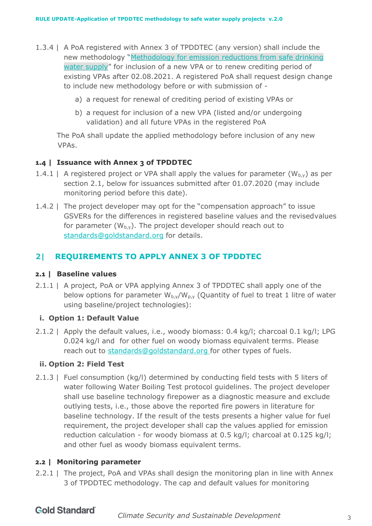- 1.3.4 | A PoA registered with Annex 3 of TPDDTEC (any version) shall include the new methodology "Methodology for [emission reductions from safe drinking](https://globalgoals.goldstandard.org/429-ee-sws-emission-reductions-from-safe-drinking-water-supply/)  [water supply"](https://globalgoals.goldstandard.org/429-ee-sws-emission-reductions-from-safe-drinking-water-supply/) for inclusion of a new VPA or to renew crediting period of existing VPAs after 02.08.2021. A registered PoA shall request design change to include new methodology before or with submission of
	- a) a request for renewal of crediting period of existing VPAs or
	- b) a request for inclusion of a new VPA (listed and/or undergoing validation) and all future VPAs in the registered PoA

The PoA shall update the applied methodology before inclusion of any new VPAs.

#### **1.4 | Issuance with Annex 3 of TPDDTEC**

- 1.4.1 | A registered project or VPA shall apply the values for parameter  $(W_{b,y})$  as per section 2.1, below for issuances submitted after 01.07.2020 (may include monitoring period before this date).
- 1.4.2 | The project developer may opt for the "compensation approach" to issue GSVERs for the differences in registered baseline values and the revisedvalues for parameter  $(W_{b,v})$ . The project developer should reach out to [standards@goldstandard.org](mailto:standards@goldstandard.org) for details.

## **2| REQUIREMENTS TO APPLY ANNEX 3 OF TPDDTEC**

#### **2.1 | Baseline values**

2.1.1 | A project, PoA or VPA applying Annex 3 of TPDDTEC shall apply one of the below options for parameter  $W_{b,y}/W_{p,y}$  (Quantity of fuel to treat 1 litre of water using baseline/project technologies):

#### **i. Option 1: Default Value**

2.1.2 | Apply the default values, i.e., woody biomass: 0.4 kg/l; charcoal 0.1 kg/l; LPG 0.024 kg/l and for other fuel on woody biomass equivalent terms. Please reach out to [standards@goldstandard.org](mailto:standards@goldstandard.org) for other types of fuels.

#### **ii. Option 2: Field Test**

2.1.3 | Fuel consumption (kg/l) determined by conducting field tests with 5 liters of water following Water Boiling Test protocol guidelines. The project developer shall use baseline technology firepower as a diagnostic measure and exclude outlying tests, i.e., those above the reported fire powers in literature for baseline technology. If the result of the tests presents a higher value for fuel requirement, the project developer shall cap the values applied for emission reduction calculation - for woody biomass at 0.5 kg/l; charcoal at 0.125 kg/l; and other fuel as woody biomass equivalent terms.

#### **2.2 | Monitoring parameter**

2.2.1 | The project, PoA and VPAs shall design the monitoring plan in line with Annex 3 of TPDDTEC methodology. The cap and default values for monitoring

## **Gold Standard**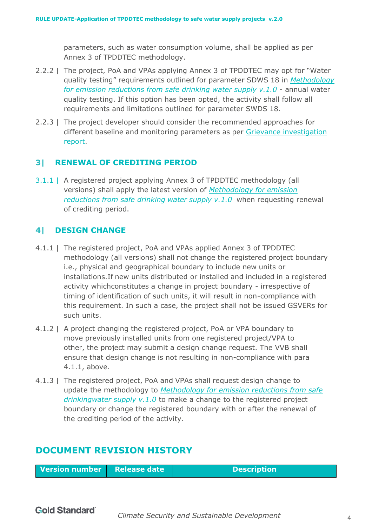parameters, such as water consumption volume, shall be applied as per Annex 3 of TPDDTEC methodology.

- 2.2.2 | The project, PoA and VPAs applying Annex 3 of TPDDTEC may opt for "Water quality testing" requirements outlined for parameter SDWS 18 in *[Methodology](https://globalgoals.goldstandard.org/429-ee-sws-emission-reductions-from-safe-drinking-water-supply/) [for emission reductions from safe drinking water supply v.1.0](https://globalgoals.goldstandard.org/429-ee-sws-emission-reductions-from-safe-drinking-water-supply/)* - annual water quality testing. If this option has been opted, the activity shall follow all requirements and limitations outlined for parameter SWDS 18.
- 2.2.3 | The project developer should consider the recommended approaches for different baseline and monitoring parameters as per Grievance [investigation](https://www.goldstandard.org/sites/default/files/swsgrievance_tacinvestigationreport_final2711.pdf) [report.](https://www.goldstandard.org/sites/default/files/swsgrievance_tacinvestigationreport_final2711.pdf)

#### **3| RENEWAL OF CREDITING PERIOD**

3.1.1 | A registered project applying Annex 3 of TPDDTEC methodology (all versions) shall apply the latest version of *[Methodology](https://globalgoals.goldstandard.org/429-ee-sws-emission-reductions-from-safe-drinking-water-supply/) for emission [reductions](https://globalgoals.goldstandard.org/429-ee-sws-emission-reductions-from-safe-drinking-water-supply/) from safe [drinking](https://globalgoals.goldstandard.org/429-ee-sws-emission-reductions-from-safe-drinking-water-supply/) water supply v.1.0* when requesting renewal of crediting period.

#### **4| DESIGN CHANGE**

- 4.1.1 | The registered project, PoA and VPAs applied Annex 3 of TPDDTEC methodology (all versions) shall not change the registered project boundary i.e., physical and geographical boundary to include new units or installations.If new units distributed or installed and included in a registered activity whichconstitutes a change in project boundary - irrespective of timing of identification of such units, it will result in non-compliance with this requirement. In such a case, the project shall not be issued GSVERs for such units.
- 4.1.2 | A project changing the registered project, PoA or VPA boundary to move previously installed units from one registered project/VPA to other, the project may submit a design change request. The VVB shall ensure that design change is not resulting in non-compliance with para 4.1.1, above.
- 4.1.3 | The registered project, PoA and VPAs shall request design change to update the methodology to *[Methodology for emission reductions from safe](https://globalgoals.goldstandard.org/429-ee-sws-emission-reductions-from-safe-drinking-water-supply/)  [drinkingwater supply v.1.0](https://globalgoals.goldstandard.org/429-ee-sws-emission-reductions-from-safe-drinking-water-supply/)* to make a change to the registered project boundary or change the registered boundary with or after the renewal of the crediting period of the activity.

## **DOCUMENT REVISION HISTORY**

**Version number** Release date **Description**